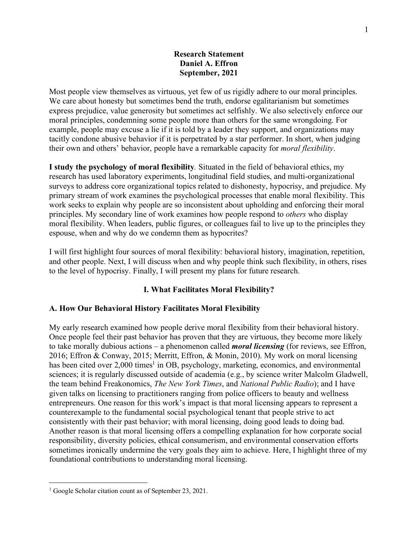## **Research Statement Daniel A. Effron September, 2021**

Most people view themselves as virtuous, yet few of us rigidly adhere to our moral principles. We care about honesty but sometimes bend the truth, endorse egalitarianism but sometimes express prejudice, value generosity but sometimes act selfishly. We also selectively enforce our moral principles, condemning some people more than others for the same wrongdoing. For example, people may excuse a lie if it is told by a leader they support, and organizations may tacitly condone abusive behavior if it is perpetrated by a star performer. In short, when judging their own and others' behavior, people have a remarkable capacity for *moral flexibility*.

**I study the psychology of moral flexibility***.* Situated in the field of behavioral ethics, my research has used laboratory experiments, longitudinal field studies, and multi-organizational surveys to address core organizational topics related to dishonesty, hypocrisy, and prejudice. My primary stream of work examines the psychological processes that enable moral flexibility. This work seeks to explain why people are so inconsistent about upholding and enforcing their moral principles. My secondary line of work examines how people respond to *others* who display moral flexibility. When leaders, public figures, or colleagues fail to live up to the principles they espouse, when and why do we condemn them as hypocrites?

I will first highlight four sources of moral flexibility: behavioral history, imagination, repetition, and other people. Next, I will discuss when and why people think such flexibility, in others, rises to the level of hypocrisy. Finally, I will present my plans for future research.

# **I. What Facilitates Moral Flexibility?**

## **A. How Our Behavioral History Facilitates Moral Flexibility**

My early research examined how people derive moral flexibility from their behavioral history. Once people feel their past behavior has proven that they are virtuous, they become more likely to take morally dubious actions – a phenomenon called *moral licensing* (for reviews, see Effron, 2016; Effron & Conway, 2015; Merritt, Effron, & Monin, 2010). My work on moral licensing has been cited over 2,000 times<sup>1</sup> in OB, psychology, marketing, economics, and environmental sciences; it is regularly discussed outside of academia (e.g., by science writer Malcolm Gladwell, the team behind Freakonomics, *The New York Times*, and *National Public Radio*); and I have given talks on licensing to practitioners ranging from police officers to beauty and wellness entrepreneurs. One reason for this work's impact is that moral licensing appears to represent a counterexample to the fundamental social psychological tenant that people strive to act consistently with their past behavior; with moral licensing, doing good leads to doing bad. Another reason is that moral licensing offers a compelling explanation for how corporate social responsibility, diversity policies, ethical consumerism, and environmental conservation efforts sometimes ironically undermine the very goals they aim to achieve. Here, I highlight three of my foundational contributions to understanding moral licensing.

 $\overline{a}$ 

<sup>&</sup>lt;sup>1</sup> Google Scholar citation count as of September 23, 2021.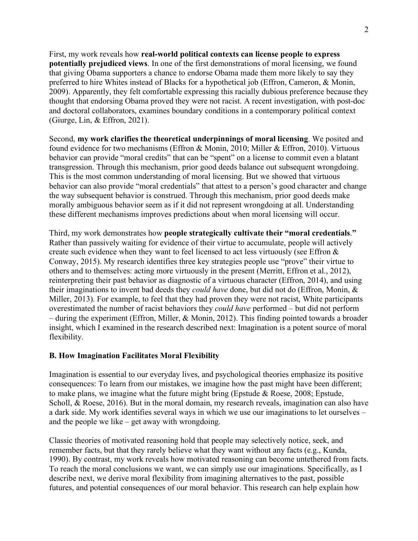First, my work reveals how **real-world political contexts can license people to express potentially prejudiced views**. In one of the first demonstrations of moral licensing, we found that giving Obama supporters a chance to endorse Obama made them more likely to say they preferred to hire Whites instead of Blacks for a hypothetical job (Effron, Cameron, & Monin, 2009). Apparently, they felt comfortable expressing this racially dubious preference because they thought that endorsing Obama proved they were not racist. A recent investigation, with post-doc and doctoral collaborators, examines boundary conditions in a contemporary political context (Giurge, Lin, & Effron, 2021).

Second, **my work clarifies the theoretical underpinnings of moral licensing**. We posited and found evidence for two mechanisms (Effron & Monin, 2010; Miller & Effron, 2010). Virtuous behavior can provide "moral credits" that can be "spent" on a license to commit even a blatant transgression. Through this mechanism, prior good deeds balance out subsequent wrongdoing. This is the most common understanding of moral licensing. But we showed that virtuous behavior can also provide "moral credentials" that attest to a person's good character and change the way subsequent behavior is construed. Through this mechanism, prior good deeds make morally ambiguous behavior seem as if it did not represent wrongdoing at all. Understanding these different mechanisms improves predictions about when moral licensing will occur.

Third, my work demonstrates how **people strategically cultivate their "moral credentials**.**"** Rather than passively waiting for evidence of their virtue to accumulate, people will actively create such evidence when they want to feel licensed to act less virtuously (see Effron & Conway, 2015). My research identifies three key strategies people use "prove" their virtue to others and to themselves: acting more virtuously in the present (Merritt, Effron et al., 2012), reinterpreting their past behavior as diagnostic of a virtuous character (Effron, 2014), and using their imaginations to invent bad deeds they *could have* done, but did not do (Effron, Monin, & Miller, 2013). For example, to feel that they had proven they were not racist, White participants overestimated the number of racist behaviors they *could have* performed – but did not perform – during the experiment (Effron, Miller, & Monin, 2012). This finding pointed towards a broader insight, which I examined in the research described next: Imagination is a potent source of moral flexibility.

#### **B. How Imagination Facilitates Moral Flexibility**

Imagination is essential to our everyday lives, and psychological theories emphasize its positive consequences: To learn from our mistakes, we imagine how the past might have been different; to make plans, we imagine what the future might bring (Epstude  $\&$  Roese, 2008; Epstude, Scholl, & Roese, 2016). But in the moral domain, my research reveals, imagination can also have a dark side. My work identifies several ways in which we use our imaginations to let ourselves – and the people we like – get away with wrongdoing.

Classic theories of motivated reasoning hold that people may selectively notice, seek, and remember facts, but that they rarely believe what they want without any facts (e.g., Kunda, 1990). By contrast, my work reveals how motivated reasoning can become untethered from facts. To reach the moral conclusions we want, we can simply use our imaginations. Specifically, as I describe next, we derive moral flexibility from imagining alternatives to the past, possible futures, and potential consequences of our moral behavior. This research can help explain how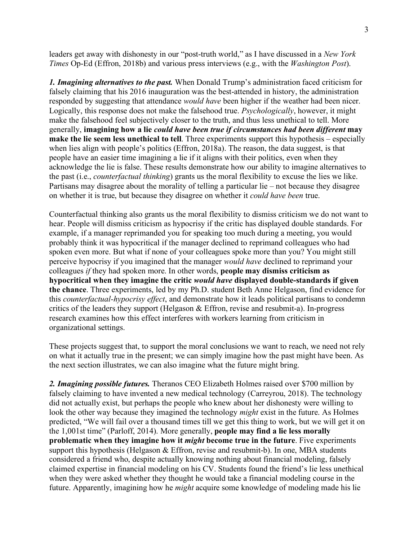leaders get away with dishonesty in our "post-truth world," as I have discussed in a *New York Times* Op-Ed (Effron, 2018b) and various press interviews (e.g., with the *Washington Post*).

*1. Imagining alternatives to the past.* When Donald Trump's administration faced criticism for falsely claiming that his 2016 inauguration was the best-attended in history, the administration responded by suggesting that attendance *would have* been higher if the weather had been nicer. Logically, this response does not make the falsehood true. *Psychologically*, however, it might make the falsehood feel subjectively closer to the truth, and thus less unethical to tell. More generally, **imagining how a lie** *could have been true if circumstances had been different* **may make the lie seem less unethical to tell**. Three experiments support this hypothesis – especially when lies align with people's politics (Effron, 2018a). The reason, the data suggest, is that people have an easier time imagining a lie if it aligns with their politics, even when they acknowledge the lie is false. These results demonstrate how our ability to imagine alternatives to the past (i.e., *counterfactual thinking*) grants us the moral flexibility to excuse the lies we like. Partisans may disagree about the morality of telling a particular lie – not because they disagree on whether it is true, but because they disagree on whether it *could have been* true.

Counterfactual thinking also grants us the moral flexibility to dismiss criticism we do not want to hear. People will dismiss criticism as hypocrisy if the critic has displayed double standards. For example, if a manager reprimanded you for speaking too much during a meeting, you would probably think it was hypocritical if the manager declined to reprimand colleagues who had spoken even more. But what if none of your colleagues spoke more than you? You might still perceive hypocrisy if you imagined that the manager *would have* declined to reprimand your colleagues *if* they had spoken more. In other words, **people may dismiss criticism as hypocritical when they imagine the critic** *would have* **displayed double-standards if given the chance**. Three experiments, led by my Ph.D. student Beth Anne Helgason, find evidence for this *counterfactual-hypocrisy effect*, and demonstrate how it leads political partisans to condemn critics of the leaders they support (Helgason & Effron, revise and resubmit-a). In-progress research examines how this effect interferes with workers learning from criticism in organizational settings.

These projects suggest that, to support the moral conclusions we want to reach, we need not rely on what it actually true in the present; we can simply imagine how the past might have been. As the next section illustrates, we can also imagine what the future might bring.

*2. Imagining possible futures.* Theranos CEO Elizabeth Holmes raised over \$700 million by falsely claiming to have invented a new medical technology (Carreyrou, 2018). The technology did not actually exist, but perhaps the people who knew about her dishonesty were willing to look the other way because they imagined the technology *might* exist in the future. As Holmes predicted, "We will fail over a thousand times till we get this thing to work, but we will get it on the 1,001st time" (Parloff, 2014). More generally, **people may find a lie less morally problematic when they imagine how it** *might* **become true in the future**. Five experiments support this hypothesis (Helgason & Effron, revise and resubmit-b). In one, MBA students considered a friend who, despite actually knowing nothing about financial modeling, falsely claimed expertise in financial modeling on his CV. Students found the friend's lie less unethical when they were asked whether they thought he would take a financial modeling course in the future. Apparently, imagining how he *might* acquire some knowledge of modeling made his lie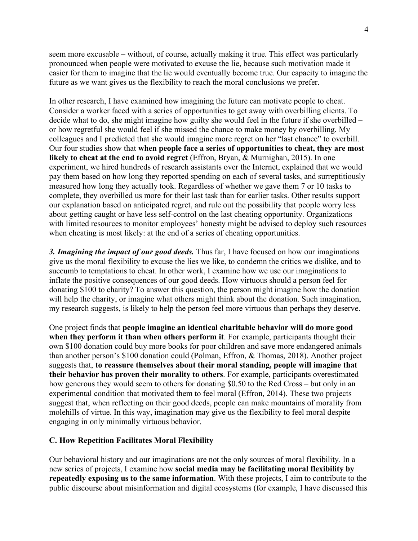seem more excusable – without, of course, actually making it true. This effect was particularly pronounced when people were motivated to excuse the lie, because such motivation made it easier for them to imagine that the lie would eventually become true. Our capacity to imagine the future as we want gives us the flexibility to reach the moral conclusions we prefer.

In other research, I have examined how imagining the future can motivate people to cheat. Consider a worker faced with a series of opportunities to get away with overbilling clients. To decide what to do, she might imagine how guilty she would feel in the future if she overbilled – or how regretful she would feel if she missed the chance to make money by overbilling. My colleagues and I predicted that she would imagine more regret on her "last chance" to overbill. Our four studies show that **when people face a series of opportunities to cheat, they are most likely to cheat at the end to avoid regret** (Effron, Bryan, & Murnighan, 2015). In one experiment, we hired hundreds of research assistants over the Internet, explained that we would pay them based on how long they reported spending on each of several tasks, and surreptitiously measured how long they actually took. Regardless of whether we gave them 7 or 10 tasks to complete, they overbilled us more for their last task than for earlier tasks. Other results support our explanation based on anticipated regret, and rule out the possibility that people worry less about getting caught or have less self-control on the last cheating opportunity. Organizations with limited resources to monitor employees' honesty might be advised to deploy such resources when cheating is most likely: at the end of a series of cheating opportunities.

*3. Imagining the impact of our good deeds.* Thus far, I have focused on how our imaginations give us the moral flexibility to excuse the lies we like, to condemn the critics we dislike, and to succumb to temptations to cheat. In other work, I examine how we use our imaginations to inflate the positive consequences of our good deeds. How virtuous should a person feel for donating \$100 to charity? To answer this question, the person might imagine how the donation will help the charity, or imagine what others might think about the donation. Such imagination, my research suggests, is likely to help the person feel more virtuous than perhaps they deserve.

One project finds that **people imagine an identical charitable behavior will do more good when they perform it than when others perform it**. For example, participants thought their own \$100 donation could buy more books for poor children and save more endangered animals than another person's \$100 donation could (Polman, Effron, & Thomas, 2018). Another project suggests that, **to reassure themselves about their moral standing, people will imagine that their behavior has proven their morality to others**. For example, participants overestimated how generous they would seem to others for donating \$0.50 to the Red Cross – but only in an experimental condition that motivated them to feel moral (Effron, 2014). These two projects suggest that, when reflecting on their good deeds, people can make mountains of morality from molehills of virtue. In this way, imagination may give us the flexibility to feel moral despite engaging in only minimally virtuous behavior.

#### **C. How Repetition Facilitates Moral Flexibility**

Our behavioral history and our imaginations are not the only sources of moral flexibility. In a new series of projects, I examine how **social media may be facilitating moral flexibility by repeatedly exposing us to the same information**. With these projects, I aim to contribute to the public discourse about misinformation and digital ecosystems (for example, I have discussed this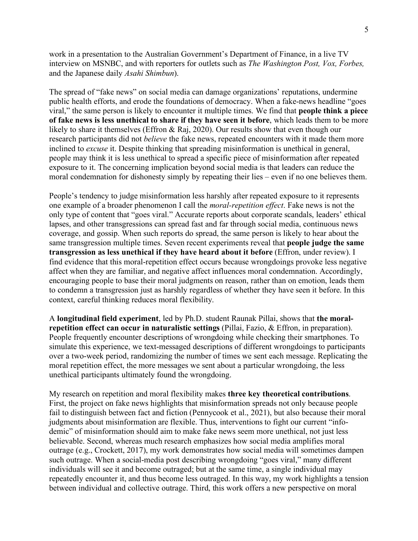work in a presentation to the Australian Government's Department of Finance, in a live TV interview on MSNBC, and with reporters for outlets such as *The Washington Post, Vox, Forbes,*  and the Japanese daily *Asahi Shimbun*).

The spread of "fake news" on social media can damage organizations' reputations, undermine public health efforts, and erode the foundations of democracy. When a fake-news headline "goes viral," the same person is likely to encounter it multiple times. We find that **people think a piece of fake news is less unethical to share if they have seen it before**, which leads them to be more likely to share it themselves (Effron & Raj, 2020). Our results show that even though our research participants did not *believe* the fake news, repeated encounters with it made them more inclined to *excuse* it. Despite thinking that spreading misinformation is unethical in general, people may think it is less unethical to spread a specific piece of misinformation after repeated exposure to it. The concerning implication beyond social media is that leaders can reduce the moral condemnation for dishonesty simply by repeating their lies – even if no one believes them.

People's tendency to judge misinformation less harshly after repeated exposure to it represents one example of a broader phenomenon I call the *moral-repetition effect*. Fake news is not the only type of content that "goes viral." Accurate reports about corporate scandals, leaders' ethical lapses, and other transgressions can spread fast and far through social media, continuous news coverage, and gossip. When such reports do spread, the same person is likely to hear about the same transgression multiple times. Seven recent experiments reveal that **people judge the same transgression as less unethical if they have heard about it before** (Effron, under review). I find evidence that this moral-repetition effect occurs because wrongdoings provoke less negative affect when they are familiar, and negative affect influences moral condemnation. Accordingly, encouraging people to base their moral judgments on reason, rather than on emotion, leads them to condemn a transgression just as harshly regardless of whether they have seen it before. In this context, careful thinking reduces moral flexibility.

A **longitudinal field experiment**, led by Ph.D. student Raunak Pillai, shows that **the moralrepetition effect can occur in naturalistic settings** (Pillai, Fazio, & Effron, in preparation). People frequently encounter descriptions of wrongdoing while checking their smartphones. To simulate this experience, we text-messaged descriptions of different wrongdoings to participants over a two-week period, randomizing the number of times we sent each message. Replicating the moral repetition effect, the more messages we sent about a particular wrongdoing, the less unethical participants ultimately found the wrongdoing.

My research on repetition and moral flexibility makes **three key theoretical contributions**. First, the project on fake news highlights that misinformation spreads not only because people fail to distinguish between fact and fiction (Pennycook et al., 2021), but also because their moral judgments about misinformation are flexible. Thus, interventions to fight our current "infodemic" of misinformation should aim to make fake news seem more unethical, not just less believable. Second, whereas much research emphasizes how social media amplifies moral outrage (e.g., Crockett, 2017), my work demonstrates how social media will sometimes dampen such outrage. When a social-media post describing wrongdoing "goes viral," many different individuals will see it and become outraged; but at the same time, a single individual may repeatedly encounter it, and thus become less outraged. In this way, my work highlights a tension between individual and collective outrage. Third, this work offers a new perspective on moral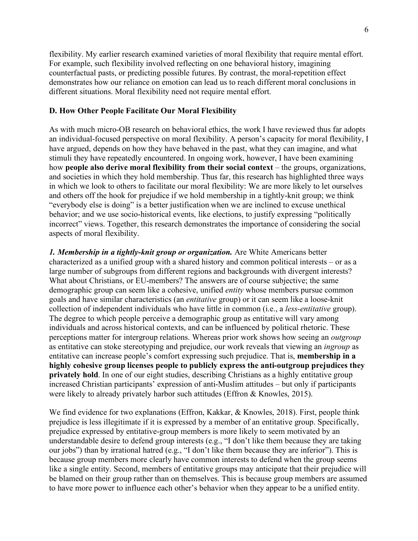flexibility. My earlier research examined varieties of moral flexibility that require mental effort. For example, such flexibility involved reflecting on one behavioral history, imagining counterfactual pasts, or predicting possible futures. By contrast, the moral-repetition effect demonstrates how our reliance on emotion can lead us to reach different moral conclusions in different situations. Moral flexibility need not require mental effort.

### **D. How Other People Facilitate Our Moral Flexibility**

As with much micro-OB research on behavioral ethics, the work I have reviewed thus far adopts an individual-focused perspective on moral flexibility. A person's capacity for moral flexibility, I have argued, depends on how they have behaved in the past, what they can imagine, and what stimuli they have repeatedly encountered. In ongoing work, however, I have been examining how **people also derive moral flexibility from their social context** – the groups, organizations, and societies in which they hold membership. Thus far, this research has highlighted three ways in which we look to others to facilitate our moral flexibility: We are more likely to let ourselves and others off the hook for prejudice if we hold membership in a tightly-knit group; we think "everybody else is doing" is a better justification when we are inclined to excuse unethical behavior; and we use socio-historical events, like elections, to justify expressing "politically incorrect" views. Together, this research demonstrates the importance of considering the social aspects of moral flexibility.

*1. Membership in a tightly-knit group or organization.* Are White Americans better characterized as a unified group with a shared history and common political interests – or as a large number of subgroups from different regions and backgrounds with divergent interests? What about Christians, or EU-members? The answers are of course subjective; the same demographic group can seem like a cohesive, unified *entity* whose members pursue common goals and have similar characteristics (an *entitative* group) or it can seem like a loose-knit collection of independent individuals who have little in common (i.e., a *less-entitative* group). The degree to which people perceive a demographic group as entitative will vary among individuals and across historical contexts, and can be influenced by political rhetoric. These perceptions matter for intergroup relations. Whereas prior work shows how seeing an *outgroup* as entitative can stoke stereotyping and prejudice, our work reveals that viewing an *ingroup* as entitative can increase people's comfort expressing such prejudice. That is, **membership in a highly cohesive group licenses people to publicly express the anti-outgroup prejudices they privately hold**. In one of our eight studies, describing Christians as a highly entitative group increased Christian participants' expression of anti-Muslim attitudes – but only if participants were likely to already privately harbor such attitudes (Effron & Knowles, 2015).

We find evidence for two explanations (Effron, Kakkar, & Knowles, 2018). First, people think prejudice is less illegitimate if it is expressed by a member of an entitative group. Specifically, prejudice expressed by entitative-group members is more likely to seem motivated by an understandable desire to defend group interests (e.g., "I don't like them because they are taking our jobs") than by irrational hatred (e.g., "I don't like them because they are inferior"). This is because group members more clearly have common interests to defend when the group seems like a single entity. Second, members of entitative groups may anticipate that their prejudice will be blamed on their group rather than on themselves. This is because group members are assumed to have more power to influence each other's behavior when they appear to be a unified entity.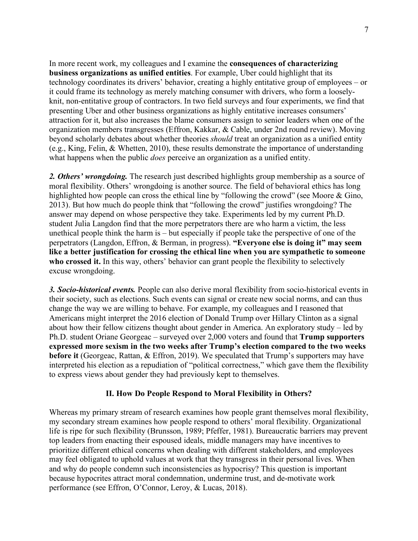In more recent work, my colleagues and I examine the **consequences of characterizing business organizations as unified entities**. For example, Uber could highlight that its technology coordinates its drivers' behavior, creating a highly entitative group of employees – or it could frame its technology as merely matching consumer with drivers, who form a looselyknit, non-entitative group of contractors. In two field surveys and four experiments, we find that presenting Uber and other business organizations as highly entitative increases consumers' attraction for it, but also increases the blame consumers assign to senior leaders when one of the organization members transgresses (Effron, Kakkar, & Cable, under 2nd round review). Moving beyond scholarly debates about whether theories *should* treat an organization as a unified entity (e.g., King, Felin, & Whetten, 2010), these results demonstrate the importance of understanding what happens when the public *does* perceive an organization as a unified entity.

2. Others' wrongdoing. The research just described highlights group membership as a source of moral flexibility. Others' wrongdoing is another source. The field of behavioral ethics has long highlighted how people can cross the ethical line by "following the crowd" (see Moore & Gino, 2013). But how much do people think that "following the crowd" justifies wrongdoing? The answer may depend on whose perspective they take. Experiments led by my current Ph.D. student Julia Langdon find that the more perpetrators there are who harm a victim, the less unethical people think the harm is – but especially if people take the perspective of one of the perpetrators (Langdon, Effron, & Berman, in progress). **"Everyone else is doing it" may seem like a better justification for crossing the ethical line when you are sympathetic to someone**  who crossed it. In this way, others' behavior can grant people the flexibility to selectively excuse wrongdoing.

*3. Socio-historical events.* People can also derive moral flexibility from socio-historical events in their society, such as elections. Such events can signal or create new social norms, and can thus change the way we are willing to behave. For example, my colleagues and I reasoned that Americans might interpret the 2016 election of Donald Trump over Hillary Clinton as a signal about how their fellow citizens thought about gender in America. An exploratory study – led by Ph.D. student Oriane Georgeac – surveyed over 2,000 voters and found that **Trump supporters expressed more sexism in the two weeks after Trump's election compared to the two weeks before it** (Georgeac, Rattan, & Effron, 2019). We speculated that Trump's supporters may have interpreted his election as a repudiation of "political correctness," which gave them the flexibility to express views about gender they had previously kept to themselves.

## **II. How Do People Respond to Moral Flexibility in Others?**

Whereas my primary stream of research examines how people grant themselves moral flexibility, my secondary stream examines how people respond to others' moral flexibility. Organizational life is ripe for such flexibility (Brunsson, 1989; Pfeffer, 1981). Bureaucratic barriers may prevent top leaders from enacting their espoused ideals, middle managers may have incentives to prioritize different ethical concerns when dealing with different stakeholders, and employees may feel obligated to uphold values at work that they transgress in their personal lives. When and why do people condemn such inconsistencies as hypocrisy? This question is important because hypocrites attract moral condemnation, undermine trust, and de-motivate work performance (see Effron, O'Connor, Leroy, & Lucas, 2018).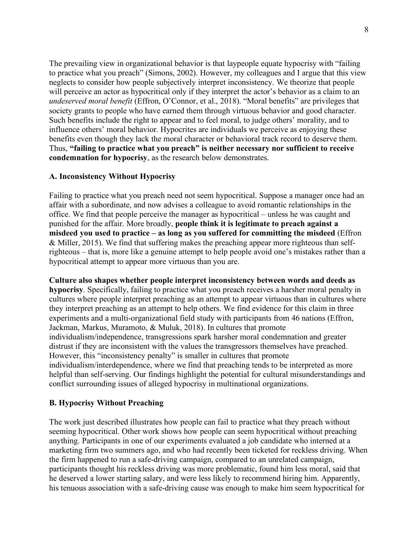The prevailing view in organizational behavior is that laypeople equate hypocrisy with "failing to practice what you preach" (Simons, 2002). However, my colleagues and I argue that this view neglects to consider how people subjectively interpret inconsistency. We theorize that people will perceive an actor as hypocritical only if they interpret the actor's behavior as a claim to an *undeserved moral benefit* (Effron, O'Connor, et al., 2018). "Moral benefits" are privileges that society grants to people who have earned them through virtuous behavior and good character. Such benefits include the right to appear and to feel moral, to judge others' morality, and to influence others' moral behavior. Hypocrites are individuals we perceive as enjoying these benefits even though they lack the moral character or behavioral track record to deserve them. Thus, **"failing to practice what you preach" is neither necessary nor sufficient to receive condemnation for hypocrisy**, as the research below demonstrates.

## **A. Inconsistency Without Hypocrisy**

Failing to practice what you preach need not seem hypocritical. Suppose a manager once had an affair with a subordinate, and now advises a colleague to avoid romantic relationships in the office. We find that people perceive the manager as hypocritical – unless he was caught and punished for the affair. More broadly, **people think it is legitimate to preach against a misdeed you used to practice – as long as you suffered for committing the misdeed** (Effron & Miller, 2015). We find that suffering makes the preaching appear more righteous than selfrighteous – that is, more like a genuine attempt to help people avoid one's mistakes rather than a hypocritical attempt to appear more virtuous than you are.

**Culture also shapes whether people interpret inconsistency between words and deeds as hypocrisy**. Specifically, failing to practice what you preach receives a harsher moral penalty in cultures where people interpret preaching as an attempt to appear virtuous than in cultures where they interpret preaching as an attempt to help others. We find evidence for this claim in three experiments and a multi-organizational field study with participants from 46 nations (Effron, Jackman, Markus, Muramoto, & Muluk, 2018). In cultures that promote individualism/independence, transgressions spark harsher moral condemnation and greater distrust if they are inconsistent with the values the transgressors themselves have preached. However, this "inconsistency penalty" is smaller in cultures that promote individualism/interdependence, where we find that preaching tends to be interpreted as more helpful than self-serving. Our findings highlight the potential for cultural misunderstandings and conflict surrounding issues of alleged hypocrisy in multinational organizations.

# **B. Hypocrisy Without Preaching**

The work just described illustrates how people can fail to practice what they preach without seeming hypocritical. Other work shows how people can seem hypocritical without preaching anything. Participants in one of our experiments evaluated a job candidate who interned at a marketing firm two summers ago, and who had recently been ticketed for reckless driving. When the firm happened to run a safe-driving campaign, compared to an unrelated campaign, participants thought his reckless driving was more problematic, found him less moral, said that he deserved a lower starting salary, and were less likely to recommend hiring him. Apparently, his tenuous association with a safe-driving cause was enough to make him seem hypocritical for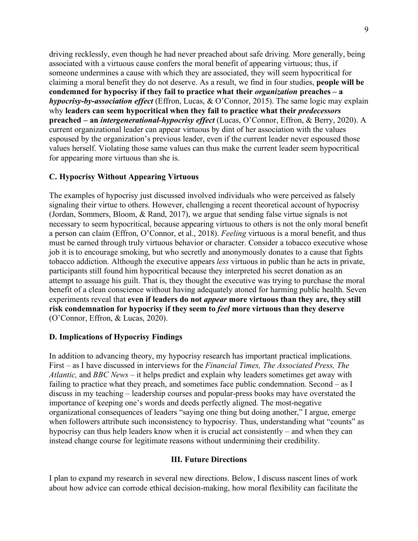driving recklessly, even though he had never preached about safe driving. More generally, being associated with a virtuous cause confers the moral benefit of appearing virtuous; thus, if someone undermines a cause with which they are associated, they will seem hypocritical for claiming a moral benefit they do not deserve. As a result, we find in four studies, **people will be condemned for hypocrisy if they fail to practice what their** *organization* **preaches – a**  *hypocrisy-by-association effect* (Effron, Lucas, & O'Connor, 2015). The same logic may explain why **leaders can seem hypocritical when they fail to practice what their** *predecessors* **preached – an** *intergenerational-hypocrisy effect* (Lucas, O'Connor, Effron, & Berry, 2020). A current organizational leader can appear virtuous by dint of her association with the values espoused by the organization's previous leader, even if the current leader never espoused those values herself. Violating those same values can thus make the current leader seem hypocritical for appearing more virtuous than she is.

## **C. Hypocrisy Without Appearing Virtuous**

The examples of hypocrisy just discussed involved individuals who were perceived as falsely signaling their virtue to others. However, challenging a recent theoretical account of hypocrisy (Jordan, Sommers, Bloom, & Rand, 2017), we argue that sending false virtue signals is not necessary to seem hypocritical, because appearing virtuous to others is not the only moral benefit a person can claim (Effron, O'Connor, et al., 2018). *Feeling* virtuous is a moral benefit, and thus must be earned through truly virtuous behavior or character. Consider a tobacco executive whose job it is to encourage smoking, but who secretly and anonymously donates to a cause that fights tobacco addiction. Although the executive appears *less* virtuous in public than he acts in private, participants still found him hypocritical because they interpreted his secret donation as an attempt to assuage his guilt. That is, they thought the executive was trying to purchase the moral benefit of a clean conscience without having adequately atoned for harming public health. Seven experiments reveal that **even if leaders do not** *appear* **more virtuous than they are, they still risk condemnation for hypocrisy if they seem to** *feel* **more virtuous than they deserve** (O'Connor, Effron, & Lucas, 2020).

## **D. Implications of Hypocrisy Findings**

In addition to advancing theory, my hypocrisy research has important practical implications. First – as I have discussed in interviews for the *Financial Times, The Associated Press, The Atlantic,* and *BBC News* – it helps predict and explain why leaders sometimes get away with failing to practice what they preach, and sometimes face public condemnation. Second – as I discuss in my teaching – leadership courses and popular-press books may have overstated the importance of keeping one's words and deeds perfectly aligned. The most-negative organizational consequences of leaders "saying one thing but doing another," I argue, emerge when followers attribute such inconsistency to hypocrisy. Thus, understanding what "counts" as hypocrisy can thus help leaders know when it is crucial act consistently – and when they can instead change course for legitimate reasons without undermining their credibility.

#### **III. Future Directions**

I plan to expand my research in several new directions. Below, I discuss nascent lines of work about how advice can corrode ethical decision-making, how moral flexibility can facilitate the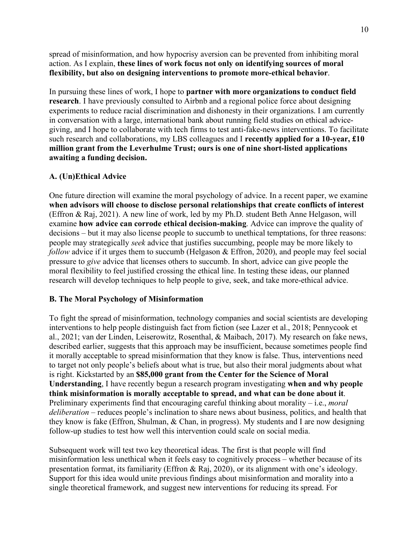spread of misinformation, and how hypocrisy aversion can be prevented from inhibiting moral action. As I explain, **these lines of work focus not only on identifying sources of moral flexibility, but also on designing interventions to promote more-ethical behavior**.

In pursuing these lines of work, I hope to **partner with more organizations to conduct field research**. I have previously consulted to Airbnb and a regional police force about designing experiments to reduce racial discrimination and dishonesty in their organizations. I am currently in conversation with a large, international bank about running field studies on ethical advicegiving, and I hope to collaborate with tech firms to test anti-fake-news interventions. To facilitate such research and collaborations, my LBS colleagues and I **recently applied for a 10-year, £10 million grant from the Leverhulme Trust; ours is one of nine short-listed applications awaiting a funding decision.**

# **A. (Un)Ethical Advice**

One future direction will examine the moral psychology of advice. In a recent paper, we examine **when advisors will choose to disclose personal relationships that create conflicts of interest** (Effron & Raj, 2021). A new line of work, led by my Ph.D. student Beth Anne Helgason, will examine **how advice can corrode ethical decision-making**. Advice can improve the quality of decisions – but it may also license people to succumb to unethical temptations, for three reasons: people may strategically *seek* advice that justifies succumbing, people may be more likely to *follow* advice if it urges them to succumb (Helgason & Effron, 2020), and people may feel social pressure to *give* advice that licenses others to succumb. In short, advice can give people the moral flexibility to feel justified crossing the ethical line. In testing these ideas, our planned research will develop techniques to help people to give, seek, and take more-ethical advice.

# **B. The Moral Psychology of Misinformation**

To fight the spread of misinformation, technology companies and social scientists are developing interventions to help people distinguish fact from fiction (see Lazer et al., 2018; Pennycook et al., 2021; van der Linden, Leiserowitz, Rosenthal, & Maibach, 2017). My research on fake news, described earlier, suggests that this approach may be insufficient, because sometimes people find it morally acceptable to spread misinformation that they know is false. Thus, interventions need to target not only people's beliefs about what is true, but also their moral judgments about what is right. Kickstarted by an **\$85,000 grant from the Center for the Science of Moral Understanding**, I have recently begun a research program investigating **when and why people think misinformation is morally acceptable to spread, and what can be done about it**. Preliminary experiments find that encouraging careful thinking about morality – i.e., *moral deliberation* – reduces people's inclination to share news about business, politics, and health that they know is fake (Effron, Shulman, & Chan, in progress). My students and I are now designing follow-up studies to test how well this intervention could scale on social media.

Subsequent work will test two key theoretical ideas. The first is that people will find misinformation less unethical when it feels easy to cognitively process – whether because of its presentation format, its familiarity (Effron & Raj, 2020), or its alignment with one's ideology. Support for this idea would unite previous findings about misinformation and morality into a single theoretical framework, and suggest new interventions for reducing its spread. For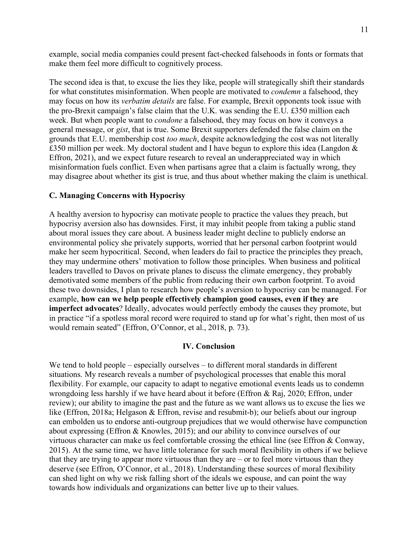example, social media companies could present fact-checked falsehoods in fonts or formats that make them feel more difficult to cognitively process.

The second idea is that, to excuse the lies they like, people will strategically shift their standards for what constitutes misinformation. When people are motivated to *condemn* a falsehood, they may focus on how its *verbatim details* are false. For example, Brexit opponents took issue with the pro-Brexit campaign's false claim that the U.K. was sending the E.U. £350 million each week. But when people want to *condone* a falsehood, they may focus on how it conveys a general message, or *gist*, that is true. Some Brexit supporters defended the false claim on the grounds that E.U. membership cost *too much*, despite acknowledging the cost was not literally £350 million per week. My doctoral student and I have begun to explore this idea (Langdon  $\&$ Effron, 2021), and we expect future research to reveal an underappreciated way in which misinformation fuels conflict. Even when partisans agree that a claim is factually wrong, they may disagree about whether its gist is true, and thus about whether making the claim is unethical.

#### **C. Managing Concerns with Hypocrisy**

A healthy aversion to hypocrisy can motivate people to practice the values they preach, but hypocrisy aversion also has downsides. First, it may inhibit people from taking a public stand about moral issues they care about. A business leader might decline to publicly endorse an environmental policy she privately supports, worried that her personal carbon footprint would make her seem hypocritical. Second, when leaders do fail to practice the principles they preach, they may undermine others' motivation to follow those principles. When business and political leaders travelled to Davos on private planes to discuss the climate emergency, they probably demotivated some members of the public from reducing their own carbon footprint. To avoid these two downsides, I plan to research how people's aversion to hypocrisy can be managed. For example, **how can we help people effectively champion good causes, even if they are imperfect advocates**? Ideally, advocates would perfectly embody the causes they promote, but in practice "if a spotless moral record were required to stand up for what's right, then most of us would remain seated" (Effron, O'Connor, et al., 2018, p. 73).

#### **IV. Conclusion**

We tend to hold people – especially ourselves – to different moral standards in different situations. My research reveals a number of psychological processes that enable this moral flexibility. For example, our capacity to adapt to negative emotional events leads us to condemn wrongdoing less harshly if we have heard about it before (Effron & Raj, 2020; Effron, under review); our ability to imagine the past and the future as we want allows us to excuse the lies we like (Effron, 2018a; Helgason & Effron, revise and resubmit-b); our beliefs about our ingroup can embolden us to endorse anti-outgroup prejudices that we would otherwise have compunction about expressing (Effron & Knowles, 2015); and our ability to convince ourselves of our virtuous character can make us feel comfortable crossing the ethical line (see Effron & Conway, 2015). At the same time, we have little tolerance for such moral flexibility in others if we believe that they are trying to appear more virtuous than they are  $-$  or to feel more virtuous than they deserve (see Effron, O'Connor, et al., 2018). Understanding these sources of moral flexibility can shed light on why we risk falling short of the ideals we espouse, and can point the way towards how individuals and organizations can better live up to their values.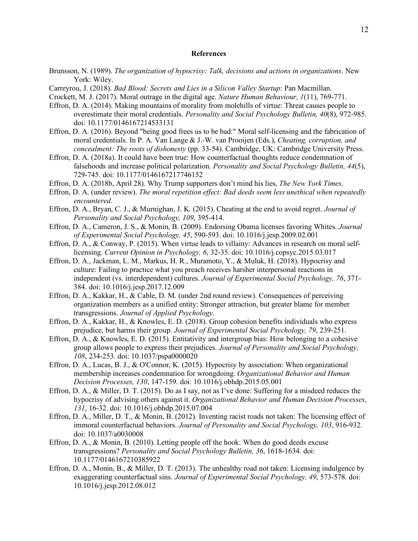#### **References**

- Brunsson, N. (1989). *The organization of hypocrisy: Talk, decisions and actions in organizations*. New York: Wiley.
- Carreyrou, J. (2018). *Bad Blood: Secrets and Lies in a Silicon Valley Startup*: Pan Macmillan.
- Crockett, M. J. (2017). Moral outrage in the digital age. *Nature Human Behaviour, 1*(11), 769-771.
- Effron, D. A. (2014). Making mountains of morality from molehills of virtue: Threat causes people to overestimate their moral credentials. *Personality and Social Psychology Bulletin, 40*(8), 972-985. doi: 10.1177/0146167214533131
- Effron, D. A. (2016). Beyond "being good frees us to be bad:" Moral self-licensing and the fabrication of moral credentials. In P. A. Van Lange & J.-W. van Prooijen (Eds.), *Cheating, corruption, and concealment: The roots of dishonesty* (pp. 33-54). Cambridge, UK: Cambridge University Press.
- Effron, D. A. (2018a). It could have been true: How counterfactual thoughts reduce condemnation of falsehoods and increase political polarization. *Personality and Social Psychology Bulletin, 44*(5), 729-745. doi: 10.1177/0146167217746152
- Effron, D. A. (2018b, April 28). Why Trump supporters don't mind his lies, *The New York Times*.
- Effron, D. A. (under review). *The moral repetition effect: Bad deeds seem less unethical when repeatedly encountered*.
- Effron, D. A., Bryan, C. J., & Murnighan, J. K. (2015). Cheating at the end to avoid regret. *Journal of Personality and Social Psychology, 109*, 395-414.
- Effron, D. A., Cameron, J. S., & Monin, B. (2009). Endorsing Obama licenses favoring Whites. *Journal of Experimental Social Psychology, 45*, 590-593. doi: 10.1016/j.jesp.2009.02.001
- Effron, D. A., & Conway, P. (2015). When virtue leads to villainy: Advances in research on moral selflicensing. *Current Opinion in Psychology, 6*, 32-35. doi: 10.1016/j.copsyc.2015.03.017
- Effron, D. A., Jackman, L. M., Markus, H. R., Muramoto, Y., & Muluk, H. (2018). Hypocrisy and culture: Failing to practice what you preach receives harsher interpersonal reactions in independent (vs. interdependent) cultures. *Journal of Experimental Social Psychology, 76*, 371- 384. doi: 10.1016/j.jesp.2017.12.009
- Effron, D. A., Kakkar, H., & Cable, D. M. (under 2nd round review). Consequences of perceiving organization members as a unified entity: Stronger attraction, but greater blame for member transgressions. *Journal of Applied Psychology*.
- Effron, D. A., Kakkar, H., & Knowles, E. D. (2018). Group cohesion benefits individuals who express prejudice, but harms their group. *Journal of Experimental Social Psychology, 79*, 239-251.
- Effron, D. A., & Knowles, E. D. (2015). Entitativity and intergroup bias: How belonging to a cohesive group allows people to express their prejudices. *Journal of Personality and Social Psychology, 108*, 234-253. doi: 10.1037/pspa0000020
- Effron, D. A., Lucas, B. J., & O'Connor, K. (2015). Hypocrisy by association: When organizational membership increases condemnation for wrongdoing. *Organizational Behavior and Human Decision Processes, 130*, 147-159. doi: 10.1016/j.obhdp.2015.05.001
- Effron, D. A., & Miller, D. T. (2015). Do as I say, not as I've done: Suffering for a misdeed reduces the hypocrisy of advising others against it. *Organizational Behavior and Human Decision Processes, 131*, 16-32. doi: 10.1016/j.obhdp.2015.07.004
- Effron, D. A., Miller, D. T., & Monin, B. (2012). Inventing racist roads not taken: The licensing effect of immoral counterfactual behaviors. *Journal of Personality and Social Psychology, 103*, 916-932. doi: 10.1037/a0030008
- Effron, D. A., & Monin, B. (2010). Letting people off the hook: When do good deeds excuse transgressions? *Personality and Social Psychology Bulletin, 36*, 1618-1634. doi: 10.1177/0146167210385922
- Effron, D. A., Monin, B., & Miller, D. T. (2013). The unhealthy road not taken: Licensing indulgence by exaggerating counterfactual sins. *Journal of Experimental Social Psychology, 49*, 573-578. doi: 10.1016/j.jesp.2012.08.012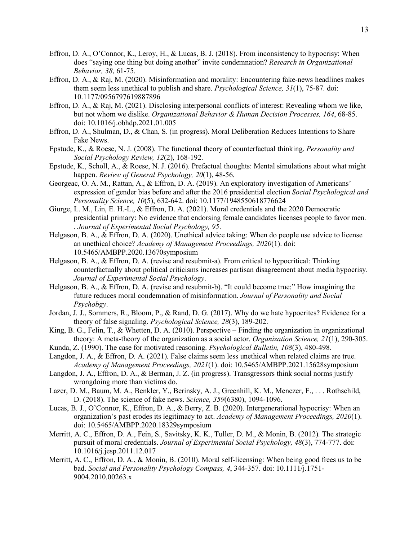- Effron, D. A., O'Connor, K., Leroy, H., & Lucas, B. J. (2018). From inconsistency to hypocrisy: When does "saying one thing but doing another" invite condemnation? *Research in Organizational Behavior, 38*, 61-75.
- Effron, D. A., & Raj, M. (2020). Misinformation and morality: Encountering fake-news headlines makes them seem less unethical to publish and share. *Psychological Science, 31*(1), 75-87. doi: 10.1177/0956797619887896
- Effron, D. A., & Raj, M. (2021). Disclosing interpersonal conflicts of interest: Revealing whom we like, but not whom we dislike. *Organizational Behavior & Human Decision Processes, 164*, 68-85. doi: 10.1016/j.obhdp.2021.01.005
- Effron, D. A., Shulman, D., & Chan, S. (in progress). Moral Deliberation Reduces Intentions to Share Fake News.
- Epstude, K., & Roese, N. J. (2008). The functional theory of counterfactual thinking. *Personality and Social Psychology Review, 12*(2), 168-192.
- Epstude, K., Scholl, A., & Roese, N. J. (2016). Prefactual thoughts: Mental simulations about what might happen. *Review of General Psychology, 20*(1), 48-56.
- Georgeac, O. A. M., Rattan, A., & Effron, D. A. (2019). An exploratory investigation of Americans' expression of gender bias before and after the 2016 presidential election *Social Psychological and Personality Science, 10*(5), 632-642. doi: 10.1177/1948550618776624
- Giurge, L. M., Lin, E. H.-L., & Effron, D. A. (2021). Moral credentials and the 2020 Democratic presidential primary: No evidence that endorsing female candidates licenses people to favor men. . *Journal of Experimental Social Psychology, 95*.
- Helgason, B. A., & Effron, D. A. (2020). Unethical advice taking: When do people use advice to license an unethical choice? *Academy of Management Proceedings, 2020*(1). doi: 10.5465/AMBPP.2020.13670symposium
- Helgason, B. A., & Effron, D. A. (revise and resubmit-a). From critical to hypocritical: Thinking counterfactually about political criticisms increases partisan disagreement about media hypocrisy. *Journal of Experimental Social Psychology*.
- Helgason, B. A., & Effron, D. A. (revise and resubmit-b). "It could become true:" How imagining the future reduces moral condemnation of misinformation. *Journal of Personality and Social Psychobgy*.
- Jordan, J. J., Sommers, R., Bloom, P., & Rand, D. G. (2017). Why do we hate hypocrites? Evidence for a theory of false signaling. *Psychological Science, 28*(3), 189-202.
- King, B. G., Felin, T., & Whetten, D. A. (2010). Perspective Finding the organization in organizational theory: A meta-theory of the organization as a social actor. *Organization Science, 21*(1), 290-305.
- Kunda, Z. (1990). The case for motivated reasoning. *Psychological Bulletin, 108*(3), 480-498.
- Langdon, J. A., & Effron, D. A. (2021). False claims seem less unethical when related claims are true. *Academy of Management Proceedings, 2021*(1). doi: 10.5465/AMBPP.2021.15628symposium
- Langdon, J. A., Effron, D. A., & Berman, J. Z. (in progress). Transgressors think social norms justify wrongdoing more than victims do.
- Lazer, D. M., Baum, M. A., Benkler, Y., Berinsky, A. J., Greenhill, K. M., Menczer, F., . . . Rothschild, D. (2018). The science of fake news. *Science, 359*(6380), 1094-1096.
- Lucas, B. J., O'Connor, K., Effron, D. A., & Berry, Z. B. (2020). Intergenerational hypocrisy: When an organization's past erodes its legitimacy to act. *Academy of Management Proceedings, 2020*(1). doi: 10.5465/AMBPP.2020.18329symposium
- Merritt, A. C., Effron, D. A., Fein, S., Savitsky, K. K., Tuller, D. M., & Monin, B. (2012). The strategic pursuit of moral credentials. *Journal of Experimental Social Psychology, 48*(3), 774-777. doi: 10.1016/j.jesp.2011.12.017
- Merritt, A. C., Effron, D. A., & Monin, B. (2010). Moral self-licensing: When being good frees us to be bad. *Social and Personality Psychology Compass, 4*, 344-357. doi: 10.1111/j.1751- 9004.2010.00263.x